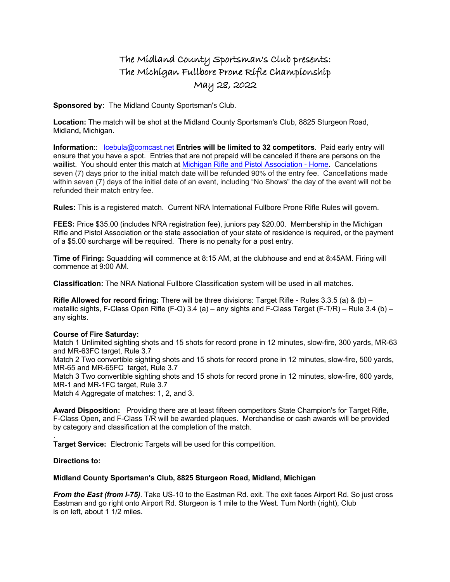## The Midland County Sportsman's Club presents: The Michigan Fullbore Prone Rifle Championship May 28, 2022

**Sponsored by:** The Midland County Sportsman's Club.

**Location:** The match will be shot at the Midland County Sportsman's Club, 8825 Sturgeon Road, Midland**,** Michigan.

**Information**:: lcebula@comcast.net **Entries will be limited to 32 competitors**. Paid early entry will ensure that you have a spot. Entries that are not prepaid will be canceled if there are persons on the waillist. You should enter this match at Michigan Rifle and Pistol Association - Home**.** Cancelations seven (7) days prior to the initial match date will be refunded 90% of the entry fee. Cancellations made within seven (7) days of the initial date of an event, including "No Shows" the day of the event will not be refunded their match entry fee.

**Rules:** This is a registered match. Current NRA International Fullbore Prone Rifle Rules will govern.

**FEES:** Price \$35.00 (includes NRA registration fee), juniors pay \$20.00. Membership in the Michigan Rifle and Pistol Association or the state association of your state of residence is required, or the payment of a \$5.00 surcharge will be required. There is no penalty for a post entry.

**Time of Firing:** Squadding will commence at 8:15 AM, at the clubhouse and end at 8:45AM. Firing will commence at 9:00 AM.

**Classification:** The NRA National Fullbore Classification system will be used in all matches.

**Rifle Allowed for record firing:** There will be three divisions: Target Rifle - Rules 3.3.5 (a) & (b) – metallic sights, F-Class Open Rifle (F-O) 3.4 (a) – any sights and F-Class Target (F-T/R) – Rule 3.4 (b) – any sights.

## **Course of Fire Saturday:**

Match 1 Unlimited sighting shots and 15 shots for record prone in 12 minutes, slow-fire, 300 yards, MR-63 and MR-63FC target, Rule 3.7

Match 2 Two convertible sighting shots and 15 shots for record prone in 12 minutes, slow-fire, 500 yards, MR-65 and MR-65FC target, Rule 3.7

Match 3 Two convertible sighting shots and 15 shots for record prone in 12 minutes, slow-fire, 600 yards, MR-1 and MR-1FC target, Rule 3.7

Match 4 Aggregate of matches: 1, 2, and 3.

**Award Disposition:** Providing there are at least fifteen competitors State Champion's for Target Rifle, F-Class Open, and F-Class T/R will be awarded plaques. Merchandise or cash awards will be provided by category and classification at the completion of the match.

**Target Service:** Electronic Targets will be used for this competition.

## **Directions to:**

.

## **Midland County Sportsman's Club, 8825 Sturgeon Road, Midland, Michigan**

*From the East (from I-75)*. Take US-10 to the Eastman Rd. exit. The exit faces Airport Rd. So just cross Eastman and go right onto Airport Rd. Sturgeon is 1 mile to the West. Turn North (right), Club is on left, about 1 1/2 miles.